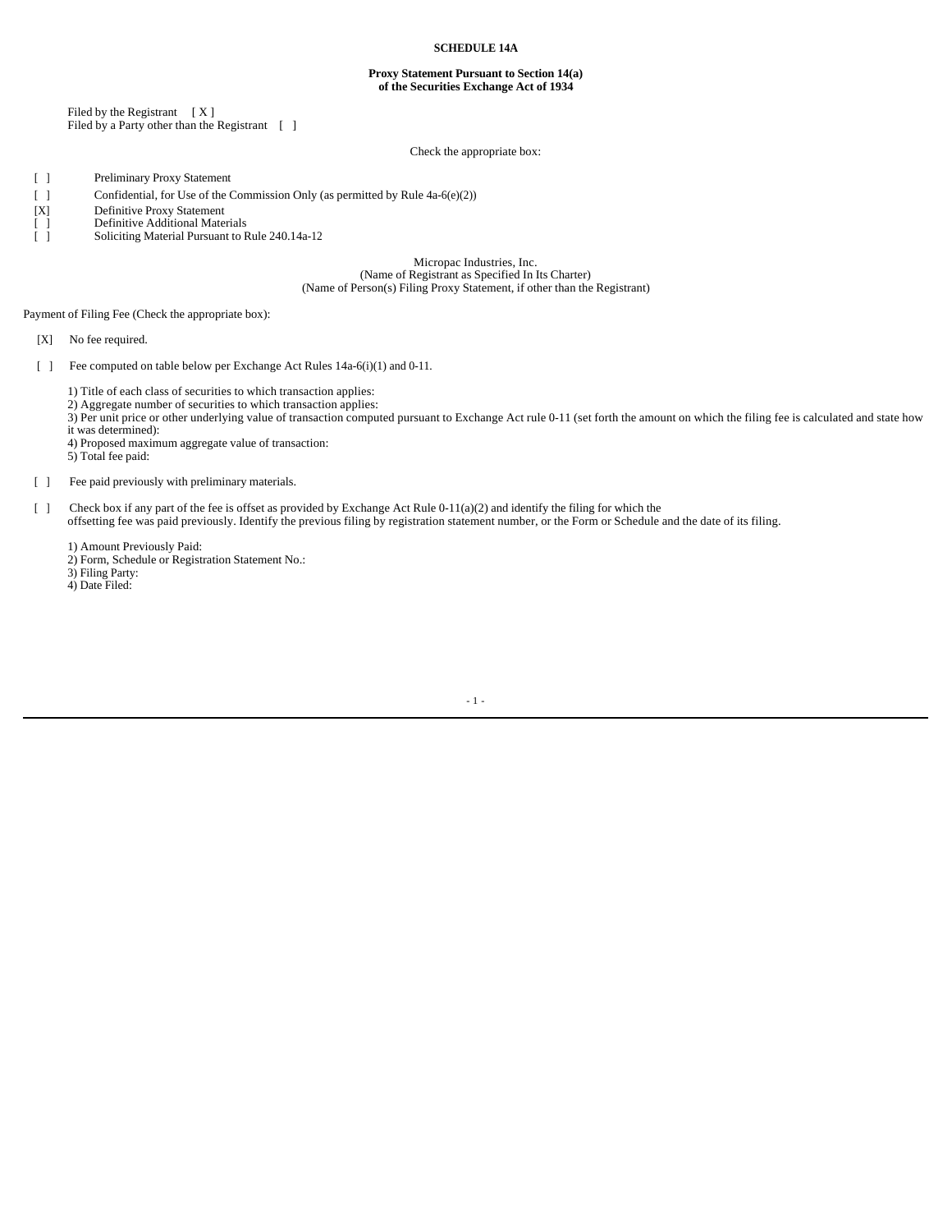### **SCHEDULE 14A**

#### **Proxy Statement Pursuant to Section 14(a) of the Securities Exchange Act of 1934**

Filed by the Registrant [ X ] Filed by a Party other than the Registrant [ ]

### Check the appropriate box:

[ ] Preliminary Proxy Statement

- [ ] Confidential, for Use of the Commission Only (as permitted by Rule 4a-6(e)(2))
- [X] Definitive Proxy Statement

[ ] Definitive Additional Materials<br>
[ ] Soliciting Material Pursuant to F

Soliciting Material Pursuant to Rule 240.14a-12

Micropac Industries, Inc. (Name of Registrant as Specified In Its Charter) (Name of Person(s) Filing Proxy Statement, if other than the Registrant)

Payment of Filing Fee (Check the appropriate box):

[X] No fee required.

[ ] Fee computed on table below per Exchange Act Rules 14a-6(i)(1) and 0-11.

1) Title of each class of securities to which transaction applies:

2) Aggregate number of securities to which transaction applies:

3) Per unit price or other underlying value of transaction computed pursuant to Exchange Act rule 0-11 (set forth the amount on which the filing fee is calculated and state how

it was determined):

4) Proposed maximum aggregate value of transaction:

5) Total fee paid:

[ ] Fee paid previously with preliminary materials.

[ ] Check box if any part of the fee is offset as provided by Exchange Act Rule 0-11(a)(2) and identify the filing for which the

offsetting fee was paid previously. Identify the previous filing by registration statement number, or the Form or Schedule and the date of its filing.

1) Amount Previously Paid:

2) Form, Schedule or Registration Statement No.:

3) Filing Party:

4) Date Filed:

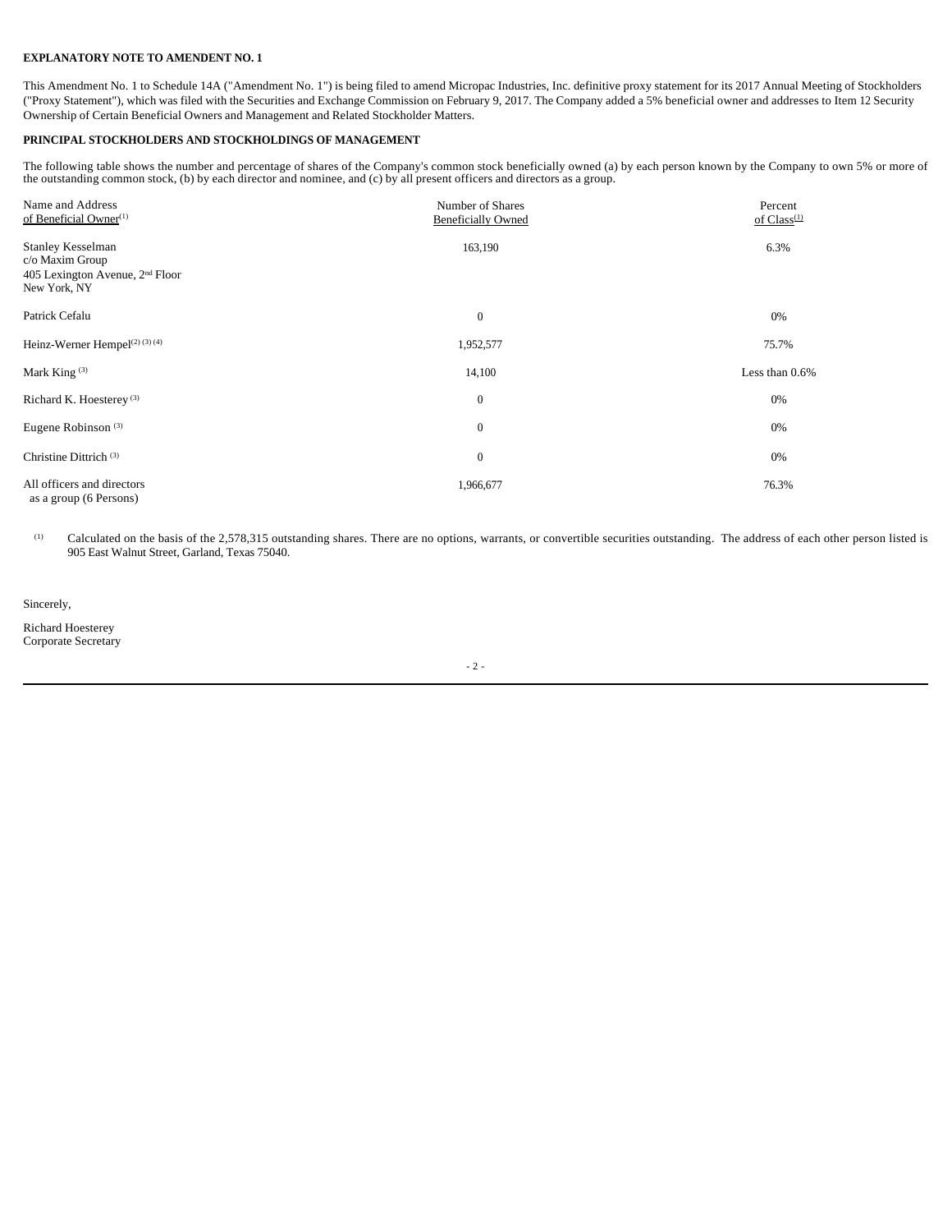## **EXPLANATORY NOTE TO AMENDENT NO. 1**

This Amendment No. 1 to Schedule 14A ("Amendment No. 1") is being filed to amend Micropac Industries, Inc. definitive proxy statement for its 2017 Annual Meeting of Stockholders ("Proxy Statement"), which was filed with the Securities and Exchange Commission on February 9, 2017. The Company added a 5% beneficial owner and addresses to Item 12 Security Ownership of Certain Beneficial Owners and Management and Related Stockholder Matters.

## **PRINCIPAL STOCKHOLDERS AND STOCKHOLDINGS OF MANAGEMENT**

The following table shows the number and percentage of shares of the Company's common stock beneficially owned (a) by each person known by the Company to own 5% or more of the outstanding common stock, (b) by each director and nominee, and (c) by all present officers and directors as a group.

| Name and Address<br>of Beneficial Owner <sup>(1)</sup>      | Number of Shares          | Percent           |
|-------------------------------------------------------------|---------------------------|-------------------|
|                                                             | <b>Beneficially Owned</b> | of $Class^{(1)}$  |
| Stanley Kesselman                                           | 163,190                   | 6.3%              |
| c/o Maxim Group                                             |                           |                   |
| 405 Lexington Avenue, 2 <sup>nd</sup> Floor<br>New York, NY |                           |                   |
|                                                             |                           |                   |
| Patrick Cefalu                                              | $\overline{0}$            | 0%                |
|                                                             |                           |                   |
| Heinz-Werner Hempel <sup>(2)(3)(4)</sup>                    | 1,952,577                 | 75.7%             |
| Mark King $(3)$                                             | 14,100                    | Less than $0.6\%$ |
|                                                             |                           |                   |
| Richard K. Hoesterey <sup>(3)</sup>                         | $\mathbf{0}$              | 0%                |
| Eugene Robinson <sup>(3)</sup>                              | $\boldsymbol{0}$          | 0%                |
|                                                             |                           |                   |
| Christine Dittrich <sup>(3)</sup>                           | $\boldsymbol{0}$          | 0%                |
| All officers and directors                                  | 1,966,677                 | 76.3%             |
| as a group (6 Persons)                                      |                           |                   |

(1) Calculated on the basis of the 2,578,315 outstanding shares. There are no options, warrants, or convertible securities outstanding. The address of each other person listed is 905 East Walnut Street, Garland, Texas 75040.

Sincerely,

Richard Hoesterey Corporate Secretary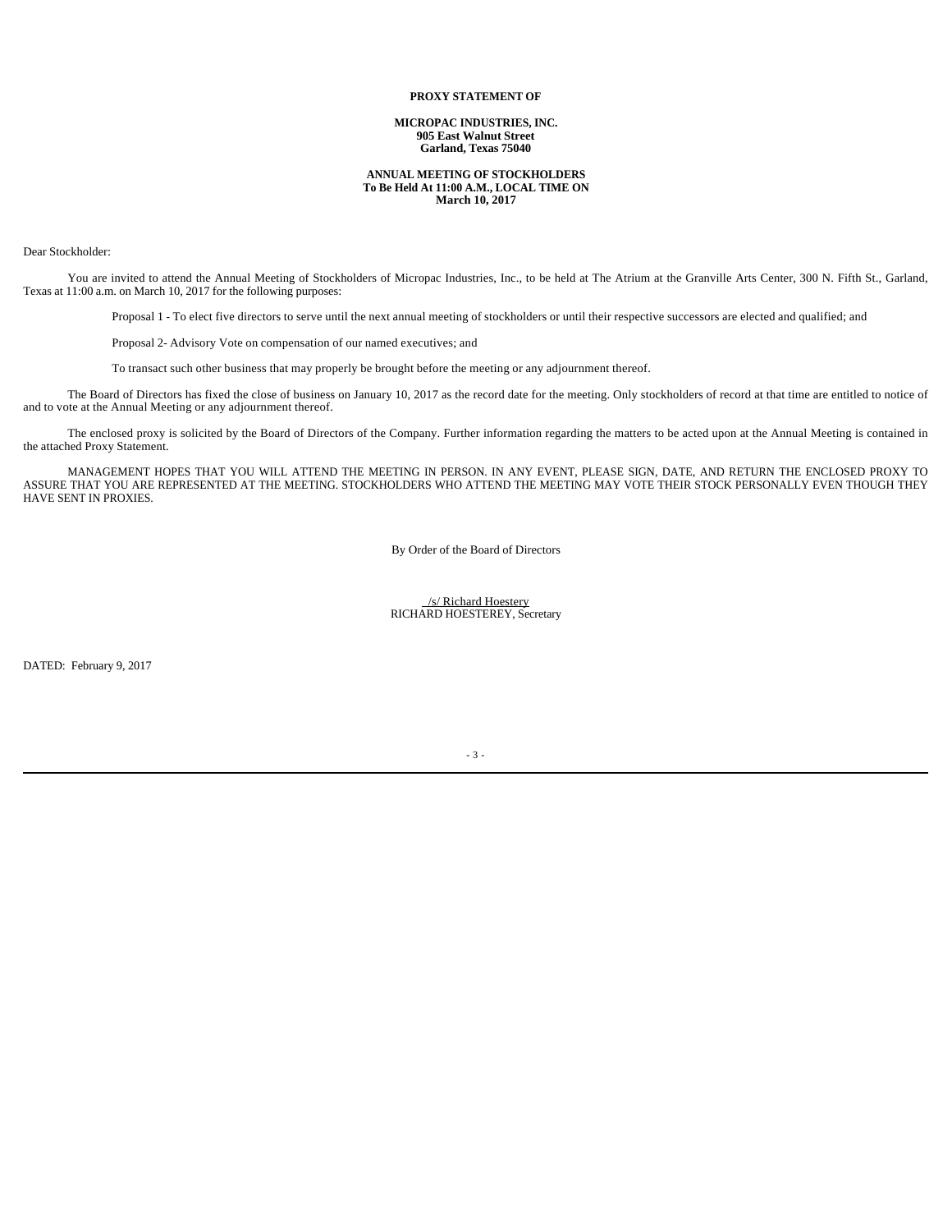### **PROXY STATEMENT OF**

**MICROPAC INDUSTRIES, INC. 905 East Walnut Street Garland, Texas 75040**

#### **ANNUAL MEETING OF STOCKHOLDERS To Be Held At 11:00 A.M., LOCAL TIME ON March 10, 2017**

#### Dear Stockholder:

You are invited to attend the Annual Meeting of Stockholders of Micropac Industries, Inc., to be held at The Atrium at the Granville Arts Center, 300 N. Fifth St., Garland, Texas at 11:00 a.m. on March 10, 2017 for the following purposes:

Proposal 1 - To elect five directors to serve until the next annual meeting of stockholders or until their respective successors are elected and qualified; and

Proposal 2- Advisory Vote on compensation of our named executives; and

To transact such other business that may properly be brought before the meeting or any adjournment thereof.

The Board of Directors has fixed the close of business on January 10, 2017 as the record date for the meeting. Only stockholders of record at that time are entitled to notice of and to vote at the Annual Meeting or any adjournment thereof.

The enclosed proxy is solicited by the Board of Directors of the Company. Further information regarding the matters to be acted upon at the Annual Meeting is contained in the attached Proxy Statement.

MANAGEMENT HOPES THAT YOU WILL ATTEND THE MEETING IN PERSON. IN ANY EVENT, PLEASE SIGN, DATE, AND RETURN THE ENCLOSED PROXY TO ASSURE THAT YOU ARE REPRESENTED AT THE MEETING. STOCKHOLDERS WHO ATTEND THE MEETING MAY VOTE THEIR STOCK PERSONALLY EVEN THOUGH THEY HAVE SENT IN PROXIES.

By Order of the Board of Directors

 /s/ Richard Hoestery RICHARD HOESTEREY, Secretary

DATED: February 9, 2017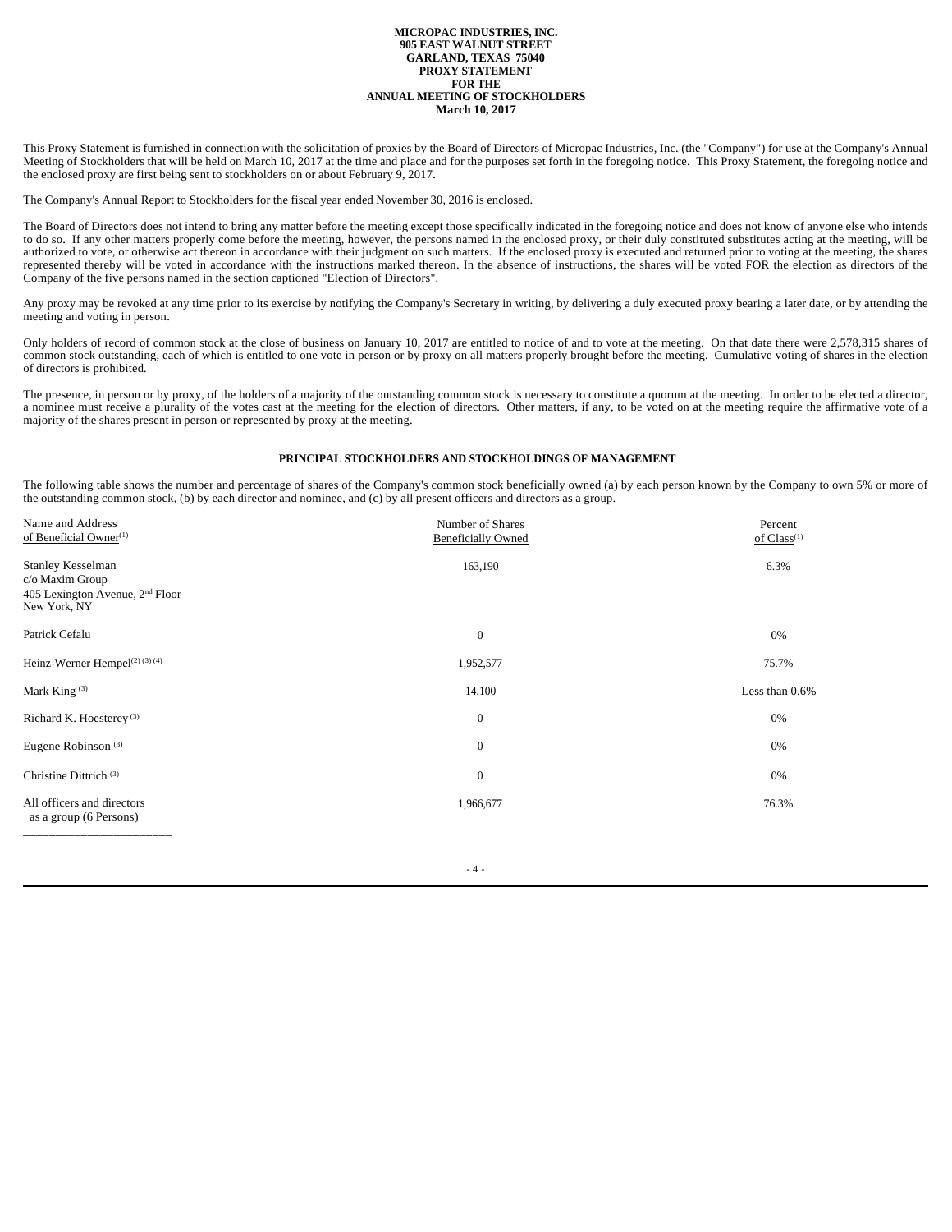#### **MICROPAC INDUSTRIES, INC. 905 EAST WALNUT STREET GARLAND, TEXAS 75040 PROXY STATEMENT FOR THE ANNUAL MEETING OF STOCKHOLDERS March 10, 2017**

This Proxy Statement is furnished in connection with the solicitation of proxies by the Board of Directors of Micropac Industries, Inc. (the "Company") for use at the Company's Annual Meeting of Stockholders that will be held on March 10, 2017 at the time and place and for the purposes set forth in the foregoing notice. This Proxy Statement, the foregoing notice and the enclosed proxy are first being sent to stockholders on or about February 9, 2017.

The Company's Annual Report to Stockholders for the fiscal year ended November 30, 2016 is enclosed.

The Board of Directors does not intend to bring any matter before the meeting except those specifically indicated in the foregoing notice and does not know of anyone else who intends to do so. If any other matters properly come before the meeting, however, the persons named in the enclosed proxy, or their duly constituted substitutes acting at the meeting, will be authorized to vote, or otherwise act thereon in accordance with their judgment on such matters. If the enclosed proxy is executed and returned prior to voting at the meeting, the shares represented thereby will be voted in accordance with the instructions marked thereon. In the absence of instructions, the shares will be voted FOR the election as directors of the Company of the five persons named in the section captioned "Election of Directors".

Any proxy may be revoked at any time prior to its exercise by notifying the Company's Secretary in writing, by delivering a duly executed proxy bearing a later date, or by attending the meeting and voting in person.

Only holders of record of common stock at the close of business on January 10, 2017 are entitled to notice of and to vote at the meeting. On that date there were 2,578,315 shares of common stock outstanding, each of which is entitled to one vote in person or by proxy on all matters properly brought before the meeting. Cumulative voting of shares in the election of directors is prohibited.

The presence, in person or by proxy, of the holders of a majority of the outstanding common stock is necessary to constitute a quorum at the meeting. In order to be elected a director, a nominee must receive a plurality of the votes cast at the meeting for the election of directors. Other matters, if any, to be voted on at the meeting require the affirmative vote of a majority of the shares present in person or represented by proxy at the meeting.

### **PRINCIPAL STOCKHOLDERS AND STOCKHOLDINGS OF MANAGEMENT**

The following table shows the number and percentage of shares of the Company's common stock beneficially owned (a) by each person known by the Company to own 5% or more of the outstanding common stock, (b) by each director and nominee, and (c) by all present officers and directors as a group.

 $- 4 -$ 

| Name and Address<br>of Beneficial Owner <sup>(1)</sup>                                                     | Number of Shares<br><b>Beneficially Owned</b> | Percent<br>of $Class^{(1)}$ |
|------------------------------------------------------------------------------------------------------------|-----------------------------------------------|-----------------------------|
| <b>Stanley Kesselman</b><br>c/o Maxim Group<br>405 Lexington Avenue, 2 <sup>nd</sup> Floor<br>New York, NY | 163,190                                       | 6.3%                        |
| Patrick Cefalu                                                                                             | $\boldsymbol{0}$                              | 0%                          |
| Heinz-Werner Hempel <sup>(2)(3)(4)</sup>                                                                   | 1,952,577                                     | 75.7%                       |
| Mark King $(3)$                                                                                            | 14,100                                        | Less than 0.6%              |
| Richard K. Hoesterey <sup>(3)</sup>                                                                        | $\overline{0}$                                | 0%                          |
| Eugene Robinson <sup>(3)</sup>                                                                             | $\mathbf{0}$                                  | 0%                          |
| Christine Dittrich <sup>(3)</sup>                                                                          | $\boldsymbol{0}$                              | 0%                          |
| All officers and directors<br>as a group (6 Persons)                                                       | 1,966,677                                     | 76.3%                       |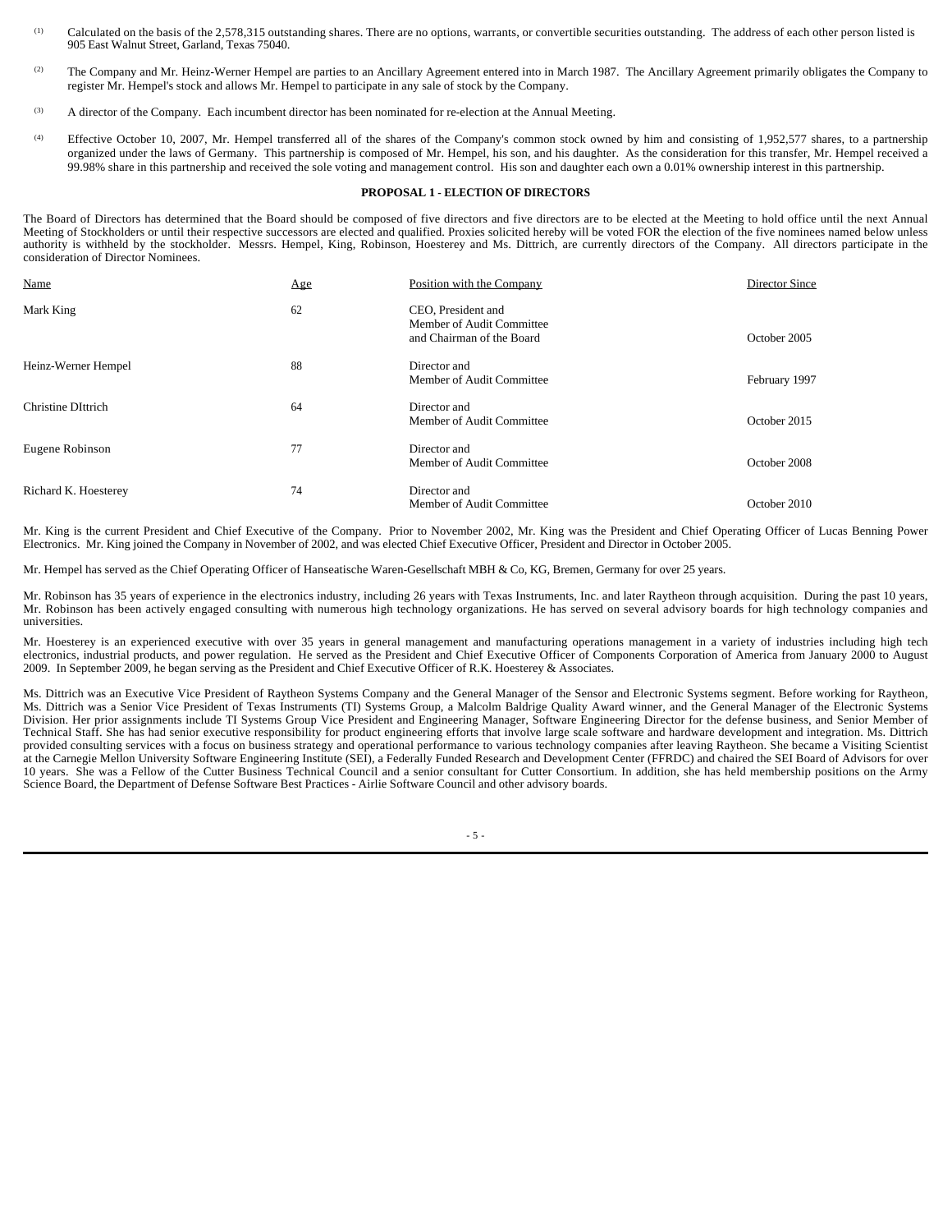- (1) Calculated on the basis of the 2,578,315 outstanding shares. There are no options, warrants, or convertible securities outstanding. The address of each other person listed is 905 East Walnut Street, Garland, Texas 75040.
- <sup>(2)</sup> The Company and Mr. Heinz-Werner Hempel are parties to an Ancillary Agreement entered into in March 1987. The Ancillary Agreement primarily obligates the Company to register Mr. Hempel's stock and allows Mr. Hempel to participate in any sale of stock by the Company.
- (3) A director of the Company. Each incumbent director has been nominated for re-election at the Annual Meeting.
- (4) Effective October 10, 2007, Mr. Hempel transferred all of the shares of the Company's common stock owned by him and consisting of 1,952,577 shares, to a partnership organized under the laws of Germany. This partnership is composed of Mr. Hempel, his son, and his daughter. As the consideration for this transfer, Mr. Hempel received a 99.98% share in this partnership and received the sole voting and management control. His son and daughter each own a 0.01% ownership interest in this partnership.

#### **PROPOSAL 1 - ELECTION OF DIRECTORS**

The Board of Directors has determined that the Board should be composed of five directors and five directors are to be elected at the Meeting to hold office until the next Annual Meeting of Stockholders or until their respective successors are elected and qualified. Proxies solicited hereby will be voted FOR the election of the five nominees named below unless authority is withheld by the stockholder. Messrs. Hempel, King, Robinson, Hoesterey and Ms. Dittrich, are currently directors of the Company. All directors participate in the consideration of Director Nominees.

| Name                 | Age | Position with the Company                                                    | Director Since |
|----------------------|-----|------------------------------------------------------------------------------|----------------|
| Mark King            | 62  | CEO, President and<br>Member of Audit Committee<br>and Chairman of the Board | October 2005   |
| Heinz-Werner Hempel  | 88  | Director and<br>Member of Audit Committee                                    | February 1997  |
| Christine DIttrich   | 64  | Director and<br>Member of Audit Committee                                    | October 2015   |
| Eugene Robinson      | 77  | Director and<br>Member of Audit Committee                                    | October 2008   |
| Richard K. Hoesterey | 74  | Director and<br>Member of Audit Committee                                    | October 2010   |

Mr. King is the current President and Chief Executive of the Company. Prior to November 2002, Mr. King was the President and Chief Operating Officer of Lucas Benning Power Electronics. Mr. King joined the Company in November of 2002, and was elected Chief Executive Officer, President and Director in October 2005.

Mr. Hempel has served as the Chief Operating Officer of Hanseatische Waren-Gesellschaft MBH & Co, KG, Bremen, Germany for over 25 years.

Mr. Robinson has 35 years of experience in the electronics industry, including 26 years with Texas Instruments, Inc. and later Raytheon through acquisition. During the past 10 years, Mr. Robinson has been actively engaged consulting with numerous high technology organizations. He has served on several advisory boards for high technology companies and universities.

Mr. Hoesterey is an experienced executive with over 35 years in general management and manufacturing operations management in a variety of industries including high tech electronics, industrial products, and power regulation. He served as the President and Chief Executive Officer of Components Corporation of America from January 2000 to August 2009. In September 2009, he began serving as the President and Chief Executive Officer of R.K. Hoesterey & Associates.

Ms. Dittrich was an Executive Vice President of Raytheon Systems Company and the General Manager of the Sensor and Electronic Systems segment. Before working for Raytheon, Ms. Dittrich was a Senior Vice President of Texas Instruments (TI) Systems Group, a Malcolm Baldrige Quality Award winner, and the General Manager of the Electronic Systems Division. Her prior assignments include TI Systems Group Vice President and Engineering Manager, Software Engineering Director for the defense business, and Senior Member of Technical Staff. She has had senior executive responsibility for product engineering efforts that involve large scale software and hardware development and integration. Ms. Dittrich provided consulting services with a focus on business strategy and operational performance to various technology companies after leaving Raytheon. She became a Visiting Scientist at the Carnegie Mellon University Software Engineering Institute (SEI), a Federally Funded Research and Development Center (FFRDC) and chaired the SEI Board of Advisors for over 10 years. She was a Fellow of the Cutter Business Technical Council and a senior consultant for Cutter Consortium. In addition, she has held membership positions on the Army Science Board, the Department of Defense Software Best Practices - Airlie Software Council and other advisory boards.

 $-5 -$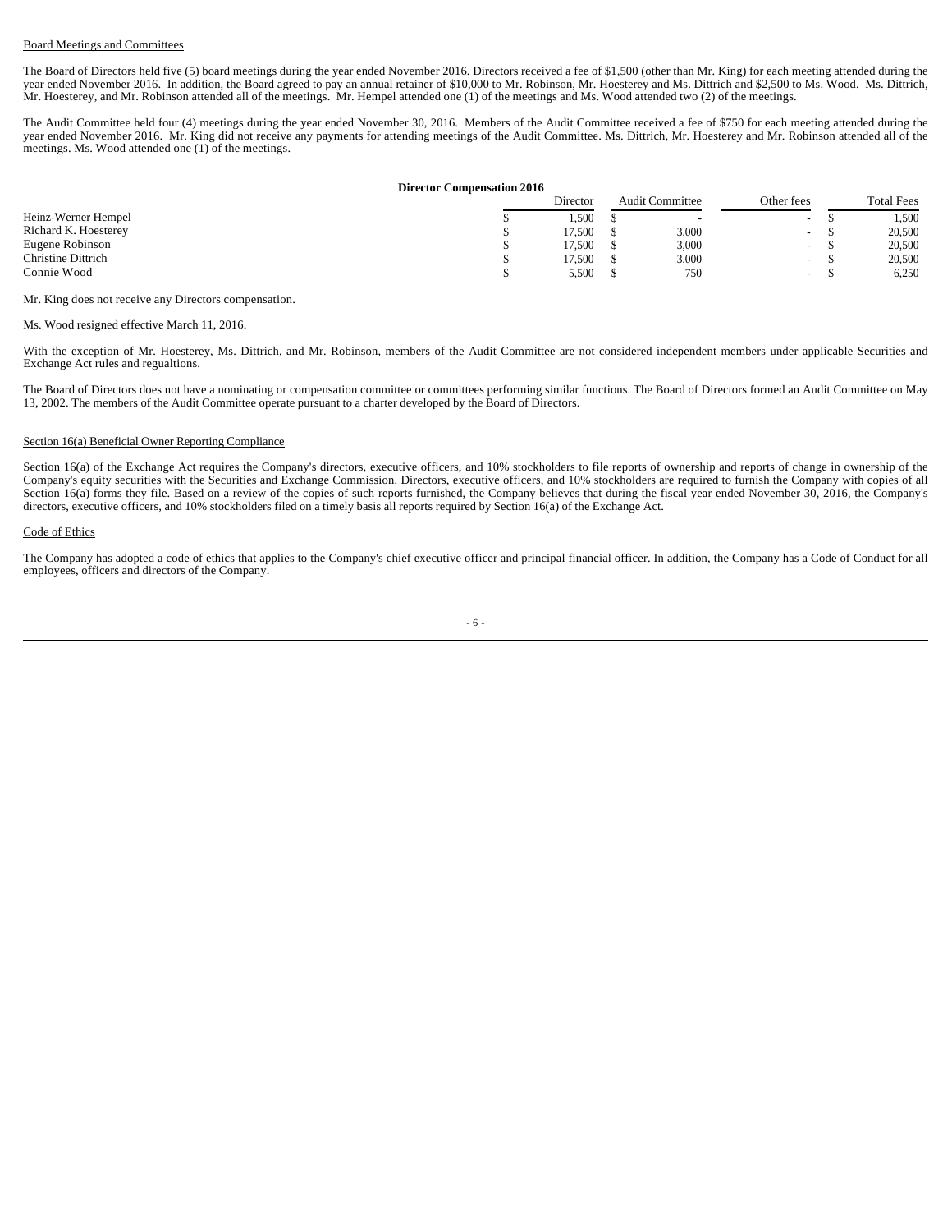### Board Meetings and Committees

The Board of Directors held five (5) board meetings during the year ended November 2016. Directors received a fee of \$1,500 (other than Mr. King) for each meeting attended during the year ended November 2016. In addition, the Board agreed to pay an annual retainer of \$10,000 to Mr. Robinson, Mr. Hoesterey and Ms. Dittrich and \$2,500 to Ms. Wood. Ms. Dittrich, Mr. Hoesterey, and Mr. Robinson attended all of the meetings. Mr. Hempel attended one (1) of the meetings and Ms. Wood attended two (2) of the meetings.

The Audit Committee held four (4) meetings during the year ended November 30, 2016. Members of the Audit Committee received a fee of \$750 for each meeting attended during the year ended November 2016. Mr. King did not receive any payments for attending meetings of the Audit Committee. Ms. Dittrich, Mr. Hoesterey and Mr. Robinson attended all of the meetings. Ms. Wood attended one (1) of the meetings.

#### **Director Compensation 2016**

|                      | Director | <b>Audit Committee</b> |       | Other fees               | <b>Total Fees</b> |
|----------------------|----------|------------------------|-------|--------------------------|-------------------|
| Heinz-Werner Hempel  | 1,500    |                        | . .   | $\overline{\phantom{a}}$ | 1,500             |
| Richard K. Hoesterey | 17.500   |                        | 3,000 | $\sim$                   | 20,500            |
| Eugene Robinson      | 17.500   |                        | 3,000 | $\overline{\phantom{a}}$ | 20,500            |
| Christine Dittrich   | 17.500   |                        | 3,000 | $\sim$                   | 20,500            |
| Connie Wood          | 5,500    |                        | 750   | $\sim$                   | 6,250             |

Mr. King does not receive any Directors compensation.

Ms. Wood resigned effective March 11, 2016.

With the exception of Mr. Hoesterey, Ms. Dittrich, and Mr. Robinson, members of the Audit Committee are not considered independent members under applicable Securities and Exchange Act rules and regualtions.

The Board of Directors does not have a nominating or compensation committee or committees performing similar functions. The Board of Directors formed an Audit Committee on May 13, 2002. The members of the Audit Committee operate pursuant to a charter developed by the Board of Directors.

#### Section 16(a) Beneficial Owner Reporting Compliance

Section 16(a) of the Exchange Act requires the Company's directors, executive officers, and 10% stockholders to file reports of ownership and reports of change in ownership of the Company's equity securities with the Securities and Exchange Commission. Directors, executive officers, and 10% stockholders are required to furnish the Company with copies of all Section 16(a) forms they file. Based on a review of the copies of such reports furnished, the Company believes that during the fiscal year ended November 30, 2016, the Company's directors, executive officers, and 10% stockholders filed on a timely basis all reports required by Section 16(a) of the Exchange Act.

### Code of Ethics

The Company has adopted a code of ethics that applies to the Company's chief executive officer and principal financial officer. In addition, the Company has a Code of Conduct for all employees, officers and directors of the Company.

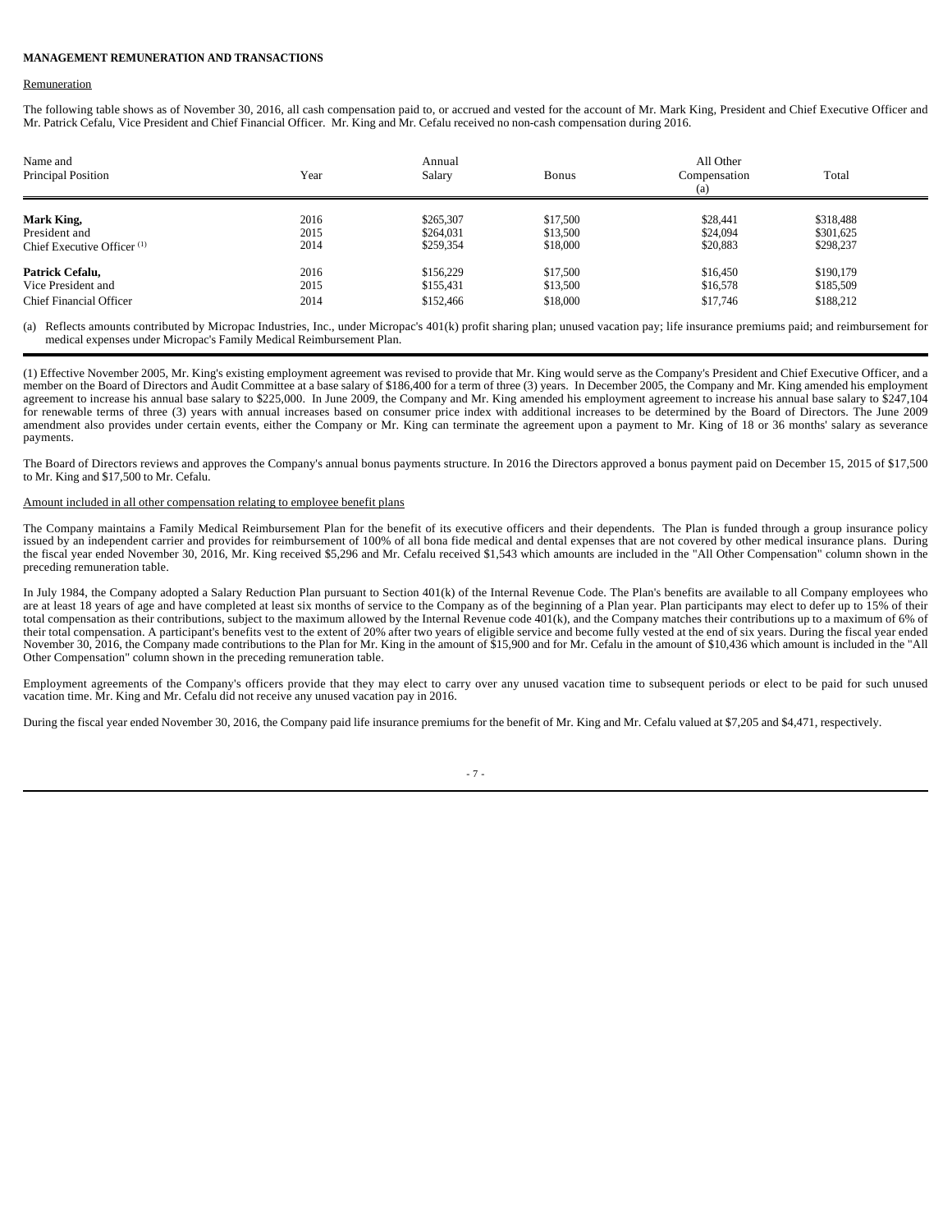#### **MANAGEMENT REMUNERATION AND TRANSACTIONS**

#### Remuneration

The following table shows as of November 30, 2016, all cash compensation paid to, or accrued and vested for the account of Mr. Mark King, President and Chief Executive Officer and Mr. Patrick Cefalu, Vice President and Chief Financial Officer. Mr. King and Mr. Cefalu received no non-cash compensation during 2016.

| Name and<br><b>Principal Position</b>  | Year | Annual<br>Salary | <b>Bonus</b> | All Other<br>Compensation<br>(a) | Total     |  |
|----------------------------------------|------|------------------|--------------|----------------------------------|-----------|--|
| Mark King,                             | 2016 | \$265,307        | \$17,500     | \$28,441                         | \$318,488 |  |
| President and                          | 2015 | \$264,031        | \$13,500     | \$24,094                         | \$301,625 |  |
| Chief Executive Officer <sup>(1)</sup> | 2014 | \$259,354        | \$18,000     | \$20,883                         | \$298,237 |  |
| Patrick Cefalu,                        | 2016 | \$156,229        | \$17,500     | \$16,450                         | \$190,179 |  |
| Vice President and                     | 2015 | \$155,431        | \$13,500     | \$16,578                         | \$185,509 |  |
| <b>Chief Financial Officer</b>         | 2014 | \$152,466        | \$18,000     | \$17,746                         | \$188,212 |  |

(a) Reflects amounts contributed by Micropac Industries, Inc., under Micropac's 401(k) profit sharing plan; unused vacation pay; life insurance premiums paid; and reimbursement for medical expenses under Micropac's Family Medical Reimbursement Plan.

(1) Effective November 2005, Mr. King's existing employment agreement was revised to provide that Mr. King would serve as the Company's President and Chief Executive Officer, and a member on the Board of Directors and Audit Committee at a base salary of \$186,400 for a term of three (3) years. In December 2005, the Company and Mr. King amended his employment agreement to increase his annual base salary to \$225,000. In June 2009, the Company and Mr. King amended his employment agreement to increase his annual base salary to \$247,104 for renewable terms of three (3) years with annual increases based on consumer price index with additional increases to be determined by the Board of Directors. The June 2009 amendment also provides under certain events, either the Company or Mr. King can terminate the agreement upon a payment to Mr. King of 18 or 36 months' salary as severance payments.

The Board of Directors reviews and approves the Company's annual bonus payments structure. In 2016 the Directors approved a bonus payment paid on December 15, 2015 of \$17,500 to Mr. King and \$17,500 to Mr. Cefalu.

### Amount included in all other compensation relating to employee benefit plans

The Company maintains a Family Medical Reimbursement Plan for the benefit of its executive officers and their dependents. The Plan is funded through a group insurance policy issued by an independent carrier and provides for reimbursement of 100% of all bona fide medical and dental expenses that are not covered by other medical insurance plans. During the fiscal year ended November 30, 2016, Mr. King received \$5,296 and Mr. Cefalu received \$1,543 which amounts are included in the "All Other Compensation" column shown in the preceding remuneration table.

In July 1984, the Company adopted a Salary Reduction Plan pursuant to Section 401(k) of the Internal Revenue Code. The Plan's benefits are available to all Company employees who are at least 18 years of age and have completed at least six months of service to the Company as of the beginning of a Plan year. Plan participants may elect to defer up to 15% of their total compensation as their contributions, subject to the maximum allowed by the Internal Revenue code 401(k), and the Company matches their contributions up to a maximum of 6% of their total compensation. A participant's benefits vest to the extent of 20% after two years of eligible service and become fully vested at the end of six years. During the fiscal year ended November 30, 2016, the Company made contributions to the Plan for Mr. King in the amount of \$15,900 and for Mr. Cefalu in the amount of \$10,436 which amount is included in the "All Other Compensation" column shown in the preceding remuneration table.

Employment agreements of the Company's officers provide that they may elect to carry over any unused vacation time to subsequent periods or elect to be paid for such unused vacation time. Mr. King and Mr. Cefalu did not receive any unused vacation pay in 2016.

During the fiscal year ended November 30, 2016, the Company paid life insurance premiums for the benefit of Mr. King and Mr. Cefalu valued at \$7,205 and \$4,471, respectively.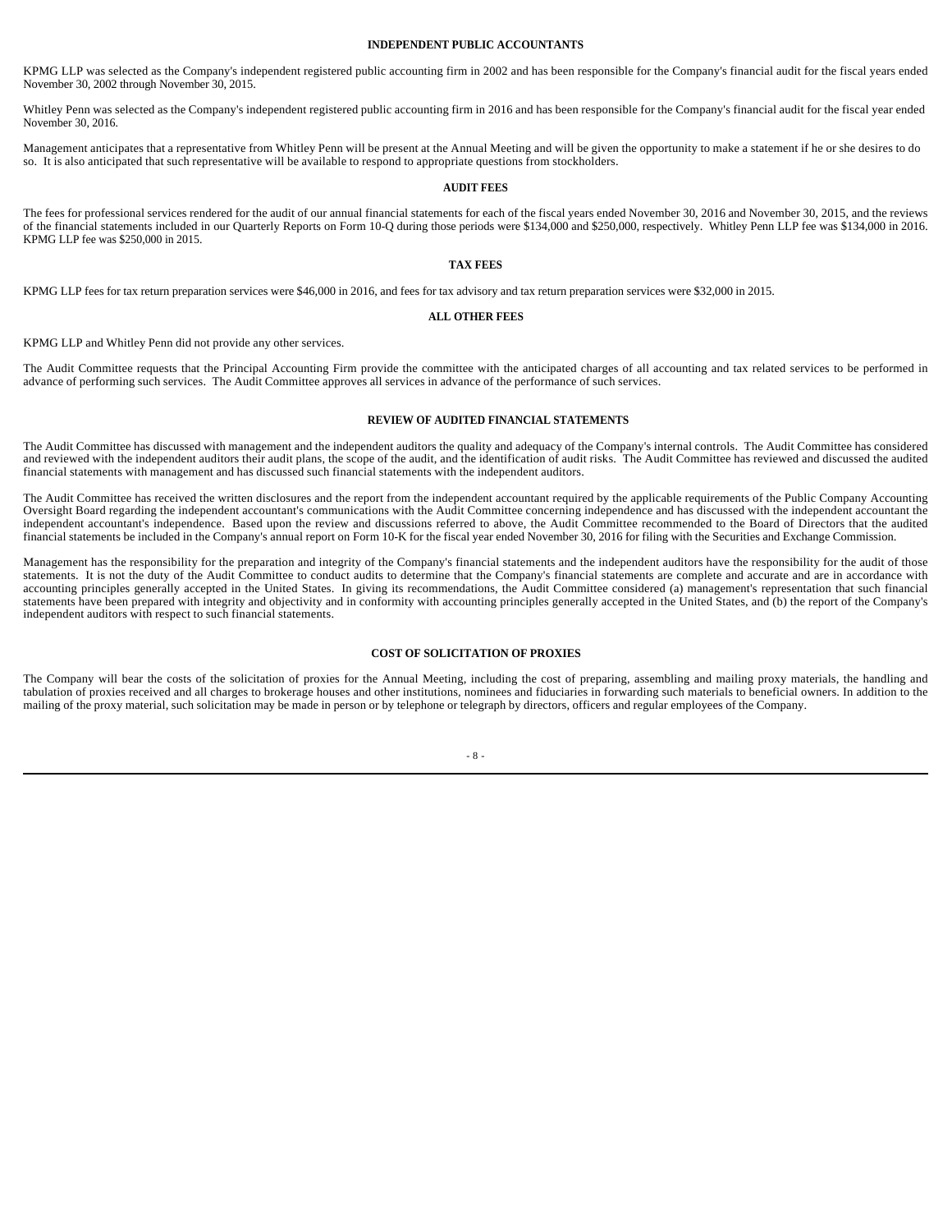#### **INDEPENDENT PUBLIC ACCOUNTANTS**

KPMG LLP was selected as the Company's independent registered public accounting firm in 2002 and has been responsible for the Company's financial audit for the fiscal years ended November 30, 2002 through November 30, 2015.

Whitley Penn was selected as the Company's independent registered public accounting firm in 2016 and has been responsible for the Company's financial audit for the fiscal year ended November 30, 2016.

Management anticipates that a representative from Whitley Penn will be present at the Annual Meeting and will be given the opportunity to make a statement if he or she desires to do so. It is also anticipated that such representative will be available to respond to appropriate questions from stockholders.

#### **AUDIT FEES**

The fees for professional services rendered for the audit of our annual financial statements for each of the fiscal years ended November 30, 2016 and November 30, 2015, and the reviews of the financial statements included in our Quarterly Reports on Form 10-Q during those periods were \$134,000 and \$250,000, respectively. Whitley Penn LLP fee was \$134,000 in 2016. KPMG LLP fee was \$250,000 in 2015.

#### **TAX FEES**

KPMG LLP fees for tax return preparation services were \$46,000 in 2016, and fees for tax advisory and tax return preparation services were \$32,000 in 2015.

#### **ALL OTHER FEES**

KPMG LLP and Whitley Penn did not provide any other services.

The Audit Committee requests that the Principal Accounting Firm provide the committee with the anticipated charges of all accounting and tax related services to be performed in advance of performing such services. The Audit Committee approves all services in advance of the performance of such services.

#### **REVIEW OF AUDITED FINANCIAL STATEMENTS**

The Audit Committee has discussed with management and the independent auditors the quality and adequacy of the Company's internal controls. The Audit Committee has considered and reviewed with the independent auditors their audit plans, the scope of the audit, and the identification of audit risks. The Audit Committee has reviewed and discussed the audited financial statements with management and has discussed such financial statements with the independent auditors.

The Audit Committee has received the written disclosures and the report from the independent accountant required by the applicable requirements of the Public Company Accounting Oversight Board regarding the independent accountant's communications with the Audit Committee concerning independence and has discussed with the independent accountant the independent accountant's independence. Based upon the review and discussions referred to above, the Audit Committee recommended to the Board of Directors that the audited financial statements be included in the Company's annual report on Form 10-K for the fiscal year ended November 30, 2016 for filing with the Securities and Exchange Commission.

Management has the responsibility for the preparation and integrity of the Company's financial statements and the independent auditors have the responsibility for the audit of those statements. It is not the duty of the Audit Committee to conduct audits to determine that the Company's financial statements are complete and accurate and are in accordance with accounting principles generally accepted in the United States. In giving its recommendations, the Audit Committee considered (a) management's representation that such financial statements have been prepared with integrity and objectivity and in conformity with accounting principles generally accepted in the United States, and (b) the report of the Company's independent auditors with respect to such financial statements.

#### **COST OF SOLICITATION OF PROXIES**

The Company will bear the costs of the solicitation of proxies for the Annual Meeting, including the cost of preparing, assembling and mailing proxy materials, the handling and tabulation of proxies received and all charges to brokerage houses and other institutions, nominees and fiduciaries in forwarding such materials to beneficial owners. In addition to the mailing of the proxy material, such solicitation may be made in person or by telephone or telegraph by directors, officers and regular employees of the Company.

### - 8 -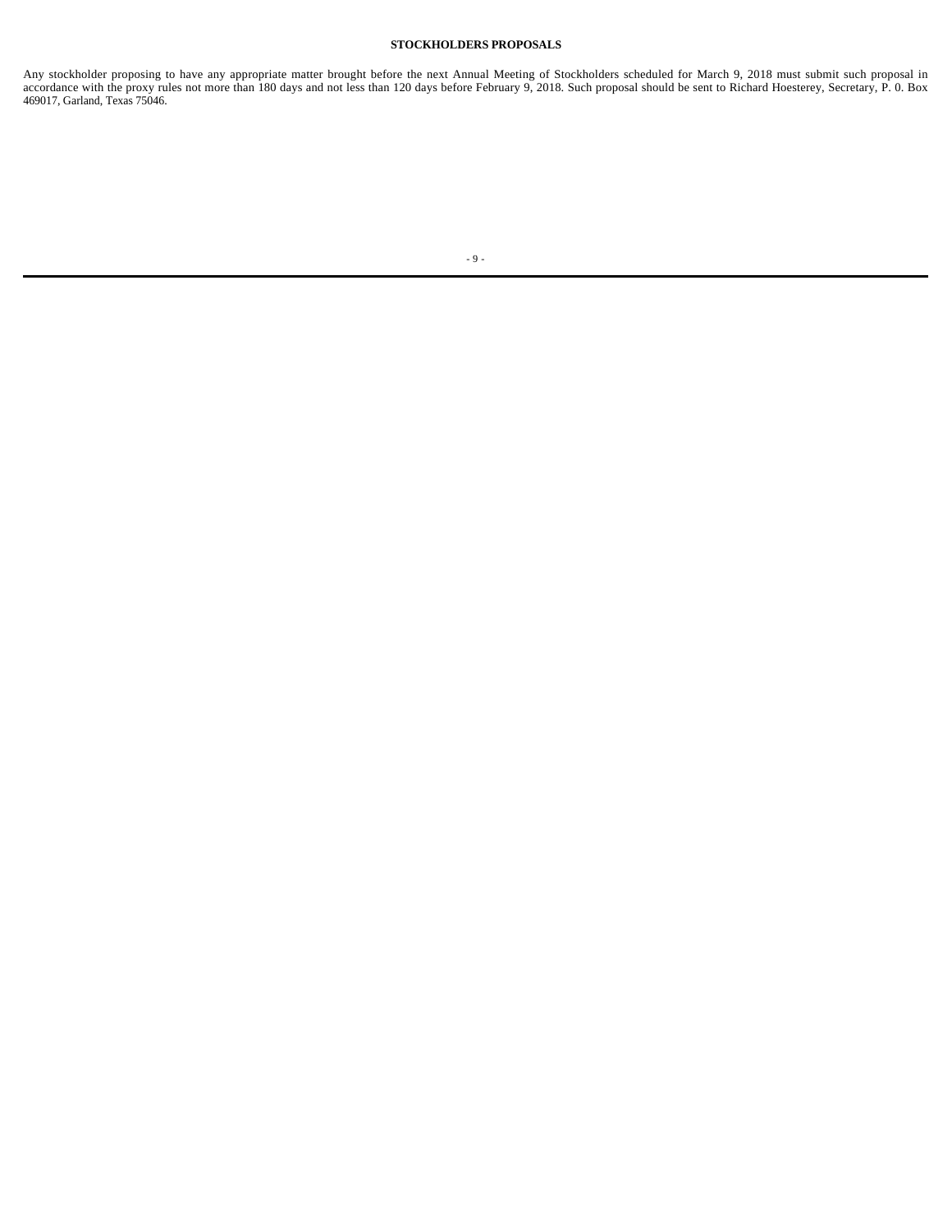## **STOCKHOLDERS PROPOSALS**

Any stockholder proposing to have any appropriate matter brought before the next Annual Meeting of Stockholders scheduled for March 9, 2018 must submit such proposal in accordance with the proxy rules not more than 180 days and not less than 120 days before February 9, 2018. Such proposal should be sent to Richard Hoesterey, Secretary, P. 0. Box 469017, Garland, Texas 75046.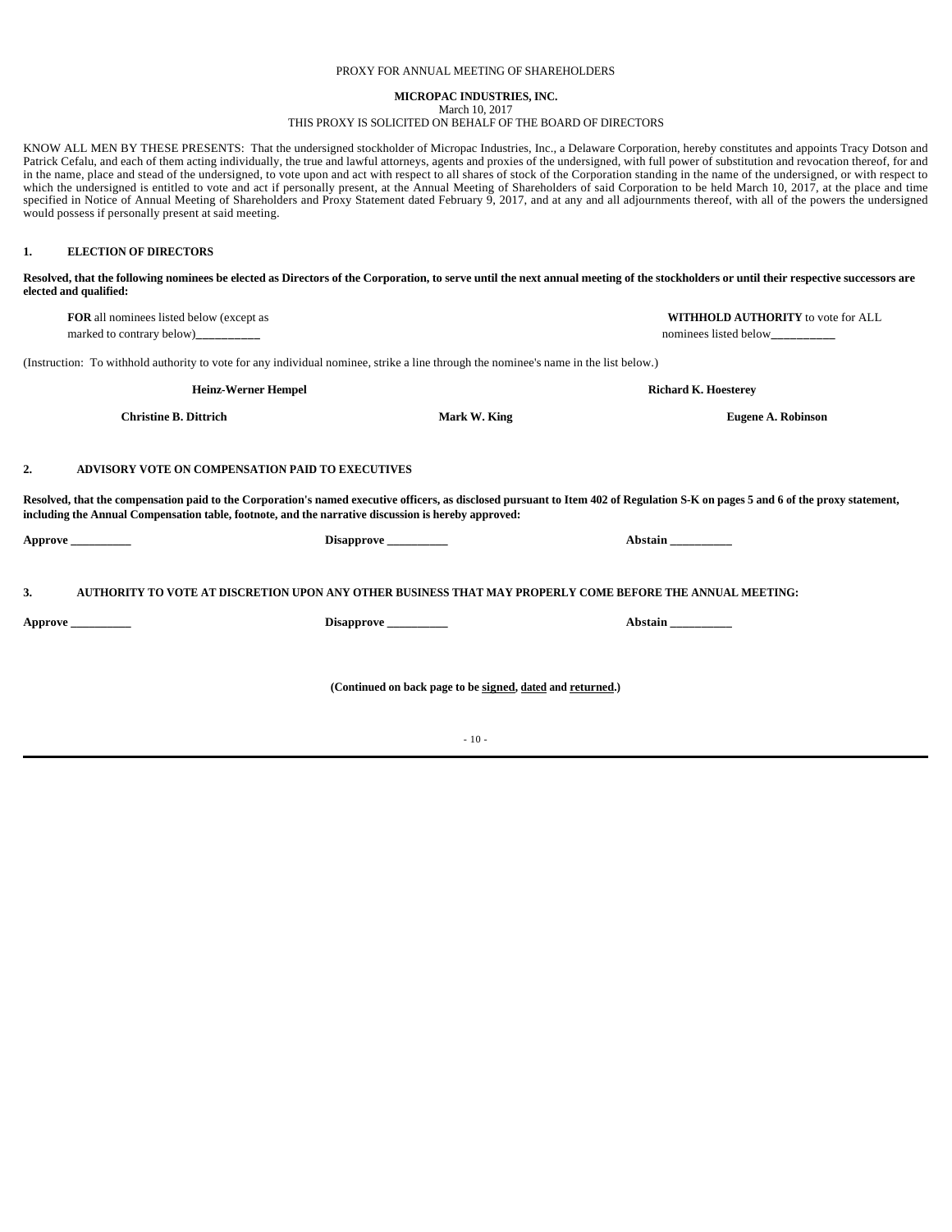## PROXY FOR ANNUAL MEETING OF SHAREHOLDERS

### **MICROPAC INDUSTRIES, INC.** March 10, 2017

### THIS PROXY IS SOLICITED ON BEHALF OF THE BOARD OF DIRECTORS

KNOW ALL MEN BY THESE PRESENTS: That the undersigned stockholder of Micropac Industries, Inc., a Delaware Corporation, hereby constitutes and appoints Tracy Dotson and Patrick Cefalu, and each of them acting individually, the true and lawful attorneys, agents and proxies of the undersigned, with full power of substitution and revocation thereof, for and in the name, place and stead of the undersigned, to vote upon and act with respect to all shares of stock of the Corporation standing in the name of the undersigned, or with respect to which the undersigned is entitled to vote and act if personally present, at the Annual Meeting of Shareholders of said Corporation to be held March 10, 2017, at the place and time specified in Notice of Annual Meeting of Shareholders and Proxy Statement dated February 9, 2017, and at any and all adjournments thereof, with all of the powers the undersigned would possess if personally present at said meeting.

# **1. ELECTION OF DIRECTORS**

| Resolved, that the following nominees be elected as Directors of the Corporation, to serve until the next annual meeting of the stockholders or until their respective successors are |
|---------------------------------------------------------------------------------------------------------------------------------------------------------------------------------------|
| elected and qualified:                                                                                                                                                                |
|                                                                                                                                                                                       |

|    | FOR all nominees listed below (except as<br>marked to contrary below)_________                                                       |                                                            | WITHHOLD AUTHORITY to vote for ALL<br>nominees listed below__________                                                                                                            |  |  |  |
|----|--------------------------------------------------------------------------------------------------------------------------------------|------------------------------------------------------------|----------------------------------------------------------------------------------------------------------------------------------------------------------------------------------|--|--|--|
|    |                                                                                                                                      |                                                            |                                                                                                                                                                                  |  |  |  |
|    | (Instruction: To withhold authority to vote for any individual nominee, strike a line through the nominee's name in the list below.) |                                                            |                                                                                                                                                                                  |  |  |  |
|    | <b>Heinz-Werner Hempel</b>                                                                                                           |                                                            | <b>Richard K. Hoesterey</b>                                                                                                                                                      |  |  |  |
|    | <b>Christine B. Dittrich</b>                                                                                                         | Mark W. King                                               | <b>Eugene A. Robinson</b>                                                                                                                                                        |  |  |  |
| 2. | ADVISORY VOTE ON COMPENSATION PAID TO EXECUTIVES                                                                                     |                                                            |                                                                                                                                                                                  |  |  |  |
|    | including the Annual Compensation table, footnote, and the narrative discussion is hereby approved:                                  |                                                            | Resolved, that the compensation paid to the Corporation's named executive officers, as disclosed pursuant to Item 402 of Regulation S-K on pages 5 and 6 of the proxy statement, |  |  |  |
|    | Approve _________                                                                                                                    | Disapprove _________                                       | Abstain                                                                                                                                                                          |  |  |  |
| 3. |                                                                                                                                      |                                                            | AUTHORITY TO VOTE AT DISCRETION UPON ANY OTHER BUSINESS THAT MAY PROPERLY COME BEFORE THE ANNUAL MEETING:                                                                        |  |  |  |
|    | Approve _________                                                                                                                    | Disapprove __________                                      | Abstain                                                                                                                                                                          |  |  |  |
|    |                                                                                                                                      |                                                            |                                                                                                                                                                                  |  |  |  |
|    |                                                                                                                                      | (Continued on back page to be signed, dated and returned.) |                                                                                                                                                                                  |  |  |  |